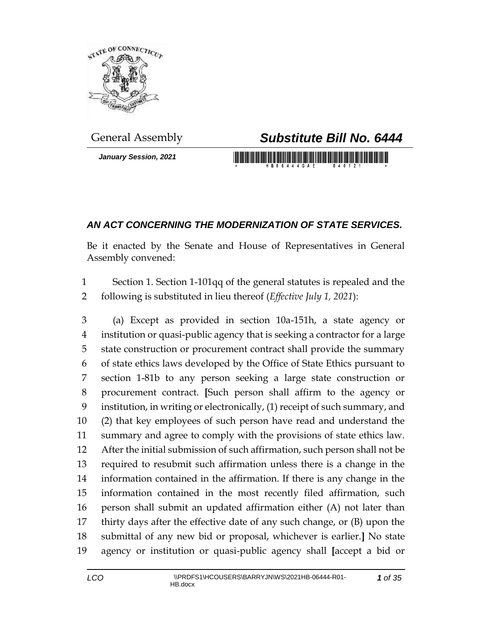

*January Session, 2021*

## General Assembly *Substitute Bill No. 6444*

<u> 1989 - An Dùbhlachd ann an Dùbhaidh an Dùbhaidh ann an Dùbhaidh an Dùbhlachd ann an Dùbhlachd ann an Dùbhlachd ann an Dùbhlachd ann an Dùbhlachd ann an Dùbhlachd ann an Dùbhlachd ann an Dùbhlachd ann an Dùbhlachd ann an </u>

## *AN ACT CONCERNING THE MODERNIZATION OF STATE SERVICES.*

Be it enacted by the Senate and House of Representatives in General Assembly convened:

 Section 1. Section 1-101qq of the general statutes is repealed and the following is substituted in lieu thereof (*Effective July 1, 2021*):

 (a) Except as provided in section 10a-151h, a state agency or institution or quasi-public agency that is seeking a contractor for a large state construction or procurement contract shall provide the summary of state ethics laws developed by the Office of State Ethics pursuant to section 1-81b to any person seeking a large state construction or procurement contract. **[**Such person shall affirm to the agency or institution, in writing or electronically, (1) receipt of such summary, and (2) that key employees of such person have read and understand the summary and agree to comply with the provisions of state ethics law. After the initial submission of such affirmation, such person shall not be required to resubmit such affirmation unless there is a change in the information contained in the affirmation. If there is any change in the information contained in the most recently filed affirmation, such person shall submit an updated affirmation either (A) not later than thirty days after the effective date of any such change, or (B) upon the submittal of any new bid or proposal, whichever is earlier.**]** No state agency or institution or quasi-public agency shall **[**accept a bid or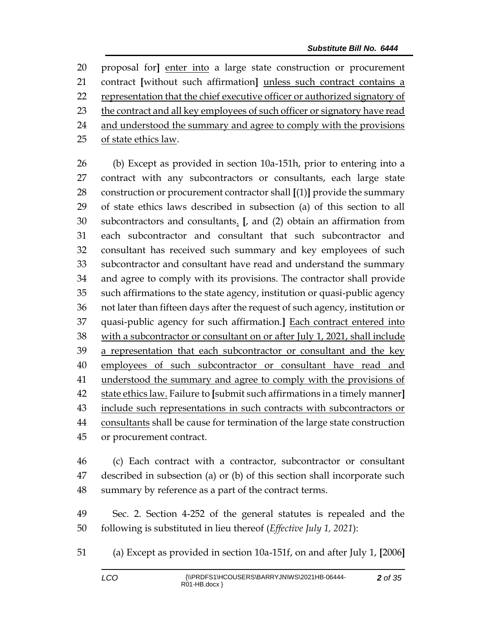proposal for**]** enter into a large state construction or procurement contract **[**without such affirmation**]** unless such contract contains a representation that the chief executive officer or authorized signatory of 23 the contract and all key employees of such officer or signatory have read 24 and understood the summary and agree to comply with the provisions 25 of state ethics law.

 (b) Except as provided in section 10a-151h, prior to entering into a 27 contract with any subcontractors or consultants, each large state construction or procurement contractor shall **[**(1)**]** provide the summary of state ethics laws described in subsection (a) of this section to all subcontractors and consultants. **[**, and (2) obtain an affirmation from each subcontractor and consultant that such subcontractor and consultant has received such summary and key employees of such subcontractor and consultant have read and understand the summary and agree to comply with its provisions. The contractor shall provide such affirmations to the state agency, institution or quasi-public agency not later than fifteen days after the request of such agency, institution or quasi-public agency for such affirmation.**]** Each contract entered into with a subcontractor or consultant on or after July 1, 2021, shall include 39 a representation that each subcontractor or consultant and the key employees of such subcontractor or consultant have read and 41 understood the summary and agree to comply with the provisions of state ethics law. Failure to **[**submit such affirmations in a timely manner**]** include such representations in such contracts with subcontractors or consultants shall be cause for termination of the large state construction or procurement contract.

 (c) Each contract with a contractor, subcontractor or consultant described in subsection (a) or (b) of this section shall incorporate such summary by reference as a part of the contract terms.

 Sec. 2. Section 4-252 of the general statutes is repealed and the following is substituted in lieu thereof (*Effective July 1, 2021*):

(a) Except as provided in section 10a-151f, on and after July 1, **[**2006**]**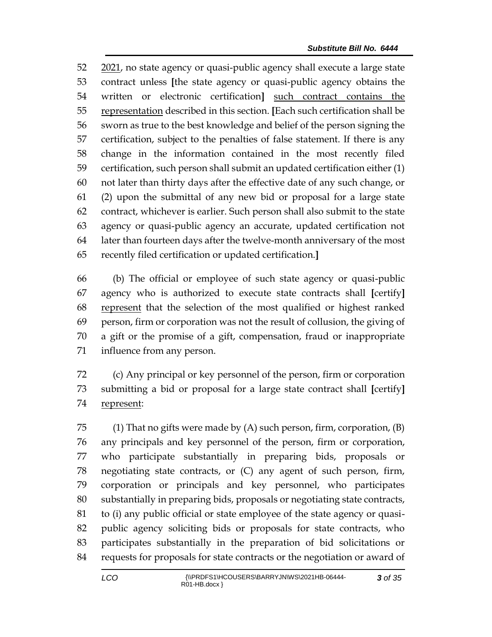2021, no state agency or quasi-public agency shall execute a large state contract unless **[**the state agency or quasi-public agency obtains the written or electronic certification**]** such contract contains the representation described in this section. **[**Each such certification shall be sworn as true to the best knowledge and belief of the person signing the certification, subject to the penalties of false statement. If there is any change in the information contained in the most recently filed certification, such person shall submit an updated certification either (1) not later than thirty days after the effective date of any such change, or (2) upon the submittal of any new bid or proposal for a large state contract, whichever is earlier. Such person shall also submit to the state agency or quasi-public agency an accurate, updated certification not later than fourteen days after the twelve-month anniversary of the most recently filed certification or updated certification.**]**

 (b) The official or employee of such state agency or quasi-public agency who is authorized to execute state contracts shall **[**certify**]** represent that the selection of the most qualified or highest ranked person, firm or corporation was not the result of collusion, the giving of a gift or the promise of a gift, compensation, fraud or inappropriate influence from any person.

 (c) Any principal or key personnel of the person, firm or corporation submitting a bid or proposal for a large state contract shall **[**certify**]** represent:

75 (1) That no gifts were made by  $(A)$  such person, firm, corporation,  $(B)$  any principals and key personnel of the person, firm or corporation, who participate substantially in preparing bids, proposals or negotiating state contracts, or (C) any agent of such person, firm, corporation or principals and key personnel, who participates substantially in preparing bids, proposals or negotiating state contracts, to (i) any public official or state employee of the state agency or quasi- public agency soliciting bids or proposals for state contracts, who participates substantially in the preparation of bid solicitations or requests for proposals for state contracts or the negotiation or award of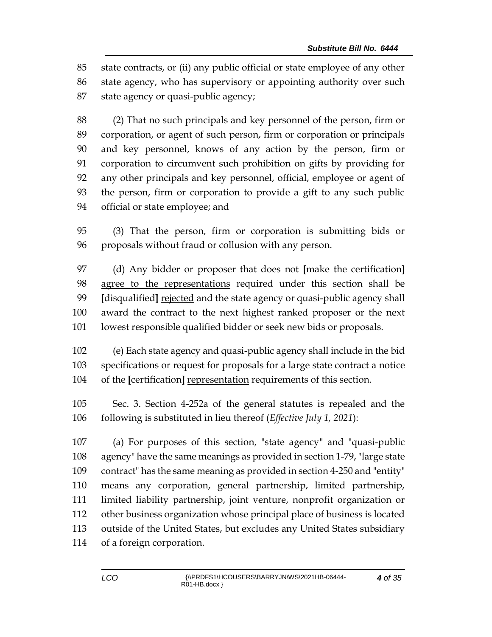state contracts, or (ii) any public official or state employee of any other state agency, who has supervisory or appointing authority over such state agency or quasi-public agency;

 (2) That no such principals and key personnel of the person, firm or corporation, or agent of such person, firm or corporation or principals and key personnel, knows of any action by the person, firm or corporation to circumvent such prohibition on gifts by providing for any other principals and key personnel, official, employee or agent of the person, firm or corporation to provide a gift to any such public official or state employee; and

 (3) That the person, firm or corporation is submitting bids or proposals without fraud or collusion with any person.

 (d) Any bidder or proposer that does not **[**make the certification**]** agree to the representations required under this section shall be **[**disqualified**]** rejected and the state agency or quasi-public agency shall award the contract to the next highest ranked proposer or the next lowest responsible qualified bidder or seek new bids or proposals.

 (e) Each state agency and quasi-public agency shall include in the bid specifications or request for proposals for a large state contract a notice of the **[**certification**]** representation requirements of this section.

 Sec. 3. Section 4-252a of the general statutes is repealed and the following is substituted in lieu thereof (*Effective July 1, 2021*):

 (a) For purposes of this section, "state agency" and "quasi-public agency" have the same meanings as provided in section 1-79, "large state contract" has the same meaning as provided in section 4-250 and "entity" means any corporation, general partnership, limited partnership, limited liability partnership, joint venture, nonprofit organization or other business organization whose principal place of business is located outside of the United States, but excludes any United States subsidiary of a foreign corporation.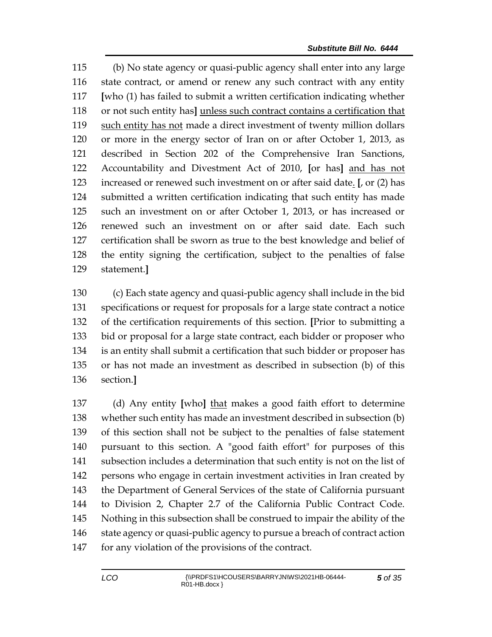(b) No state agency or quasi-public agency shall enter into any large state contract, or amend or renew any such contract with any entity **[**who (1) has failed to submit a written certification indicating whether or not such entity has**]** unless such contract contains a certification that 119 such entity has not made a direct investment of twenty million dollars or more in the energy sector of Iran on or after October 1, 2013, as described in Section 202 of the Comprehensive Iran Sanctions, Accountability and Divestment Act of 2010, **[**or has**]** and has not increased or renewed such investment on or after said date. **[**, or (2) has submitted a written certification indicating that such entity has made such an investment on or after October 1, 2013, or has increased or renewed such an investment on or after said date. Each such certification shall be sworn as true to the best knowledge and belief of the entity signing the certification, subject to the penalties of false statement.**]**

 (c) Each state agency and quasi-public agency shall include in the bid specifications or request for proposals for a large state contract a notice of the certification requirements of this section. **[**Prior to submitting a bid or proposal for a large state contract, each bidder or proposer who is an entity shall submit a certification that such bidder or proposer has or has not made an investment as described in subsection (b) of this section.**]**

 (d) Any entity **[**who**]** that makes a good faith effort to determine whether such entity has made an investment described in subsection (b) of this section shall not be subject to the penalties of false statement pursuant to this section. A "good faith effort" for purposes of this subsection includes a determination that such entity is not on the list of persons who engage in certain investment activities in Iran created by the Department of General Services of the state of California pursuant to Division 2, Chapter 2.7 of the California Public Contract Code. Nothing in this subsection shall be construed to impair the ability of the 146 state agency or quasi-public agency to pursue a breach of contract action for any violation of the provisions of the contract.

*of 35*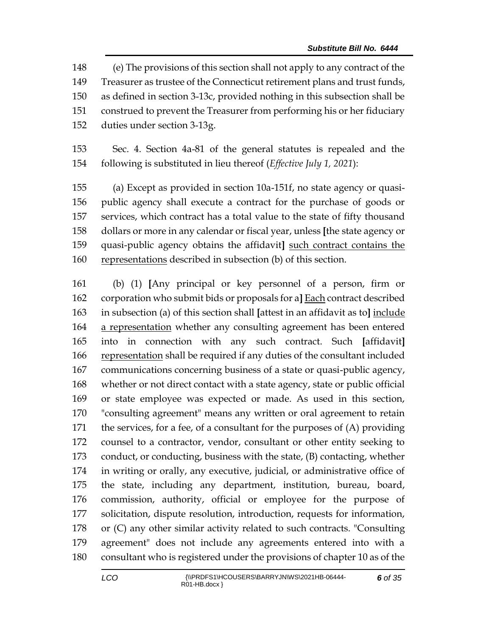(e) The provisions of this section shall not apply to any contract of the Treasurer as trustee of the Connecticut retirement plans and trust funds, as defined in section 3-13c, provided nothing in this subsection shall be construed to prevent the Treasurer from performing his or her fiduciary duties under section 3-13g.

 Sec. 4. Section 4a-81 of the general statutes is repealed and the following is substituted in lieu thereof (*Effective July 1, 2021*):

 (a) Except as provided in section 10a-151f, no state agency or quasi- public agency shall execute a contract for the purchase of goods or services, which contract has a total value to the state of fifty thousand dollars or more in any calendar or fiscal year, unless **[**the state agency or quasi-public agency obtains the affidavit**]** such contract contains the 160 representations described in subsection (b) of this section.

 (b) (1) **[**Any principal or key personnel of a person, firm or corporation who submit bids or proposals for a**]** Each contract described in subsection (a) of this section shall **[**attest in an affidavit as to**]** include 164 a representation whether any consulting agreement has been entered into in connection with any such contract. Such **[**affidavit**]** representation shall be required if any duties of the consultant included communications concerning business of a state or quasi-public agency, whether or not direct contact with a state agency, state or public official or state employee was expected or made. As used in this section, "consulting agreement" means any written or oral agreement to retain the services, for a fee, of a consultant for the purposes of (A) providing counsel to a contractor, vendor, consultant or other entity seeking to conduct, or conducting, business with the state, (B) contacting, whether in writing or orally, any executive, judicial, or administrative office of the state, including any department, institution, bureau, board, commission, authority, official or employee for the purpose of solicitation, dispute resolution, introduction, requests for information, or (C) any other similar activity related to such contracts. "Consulting agreement" does not include any agreements entered into with a consultant who is registered under the provisions of chapter 10 as of the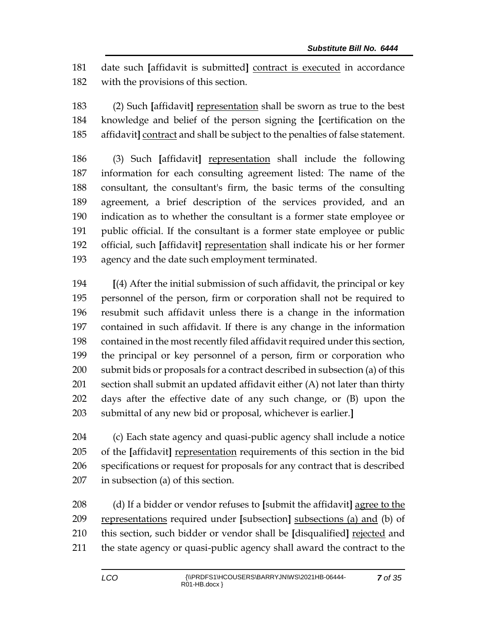date such **[**affidavit is submitted**]** contract is executed in accordance with the provisions of this section.

 (2) Such **[**affidavit**]** representation shall be sworn as true to the best knowledge and belief of the person signing the **[**certification on the affidavit**]** contract and shall be subject to the penalties of false statement.

 (3) Such **[**affidavit**]** representation shall include the following information for each consulting agreement listed: The name of the consultant, the consultant's firm, the basic terms of the consulting agreement, a brief description of the services provided, and an indication as to whether the consultant is a former state employee or public official. If the consultant is a former state employee or public official, such **[**affidavit**]** representation shall indicate his or her former agency and the date such employment terminated.

 **[**(4) After the initial submission of such affidavit, the principal or key personnel of the person, firm or corporation shall not be required to resubmit such affidavit unless there is a change in the information contained in such affidavit. If there is any change in the information contained in the most recently filed affidavit required under this section, the principal or key personnel of a person, firm or corporation who submit bids or proposals for a contract described in subsection (a) of this section shall submit an updated affidavit either (A) not later than thirty days after the effective date of any such change, or (B) upon the submittal of any new bid or proposal, whichever is earlier.**]**

 (c) Each state agency and quasi-public agency shall include a notice of the **[**affidavit**]** representation requirements of this section in the bid specifications or request for proposals for any contract that is described in subsection (a) of this section.

 (d) If a bidder or vendor refuses to **[**submit the affidavit**]** agree to the representations required under **[**subsection**]** subsections (a) and (b) of this section, such bidder or vendor shall be **[**disqualified**]** rejected and the state agency or quasi-public agency shall award the contract to the

*of 35*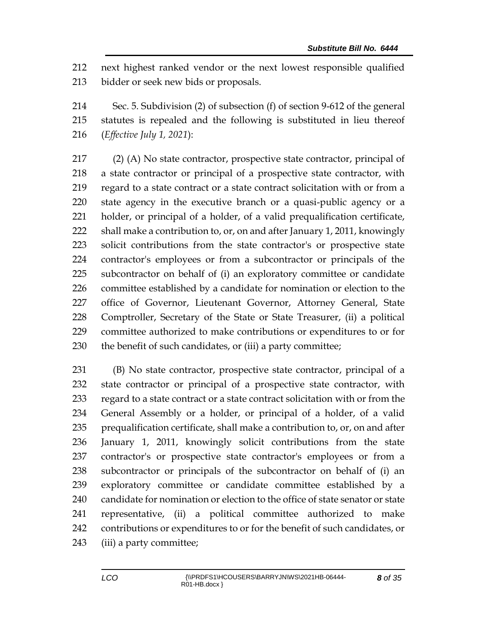next highest ranked vendor or the next lowest responsible qualified bidder or seek new bids or proposals.

 Sec. 5. Subdivision (2) of subsection (f) of section 9-612 of the general statutes is repealed and the following is substituted in lieu thereof (*Effective July 1, 2021*):

 (2) (A) No state contractor, prospective state contractor, principal of a state contractor or principal of a prospective state contractor, with regard to a state contract or a state contract solicitation with or from a state agency in the executive branch or a quasi-public agency or a holder, or principal of a holder, of a valid prequalification certificate, shall make a contribution to, or, on and after January 1, 2011, knowingly solicit contributions from the state contractor's or prospective state contractor's employees or from a subcontractor or principals of the subcontractor on behalf of (i) an exploratory committee or candidate committee established by a candidate for nomination or election to the 227 office of Governor, Lieutenant Governor, Attorney General, State Comptroller, Secretary of the State or State Treasurer, (ii) a political committee authorized to make contributions or expenditures to or for 230 the benefit of such candidates, or (iii) a party committee;

 (B) No state contractor, prospective state contractor, principal of a state contractor or principal of a prospective state contractor, with regard to a state contract or a state contract solicitation with or from the General Assembly or a holder, or principal of a holder, of a valid prequalification certificate, shall make a contribution to, or, on and after January 1, 2011, knowingly solicit contributions from the state contractor's or prospective state contractor's employees or from a subcontractor or principals of the subcontractor on behalf of (i) an exploratory committee or candidate committee established by a candidate for nomination or election to the office of state senator or state representative, (ii) a political committee authorized to make contributions or expenditures to or for the benefit of such candidates, or (iii) a party committee;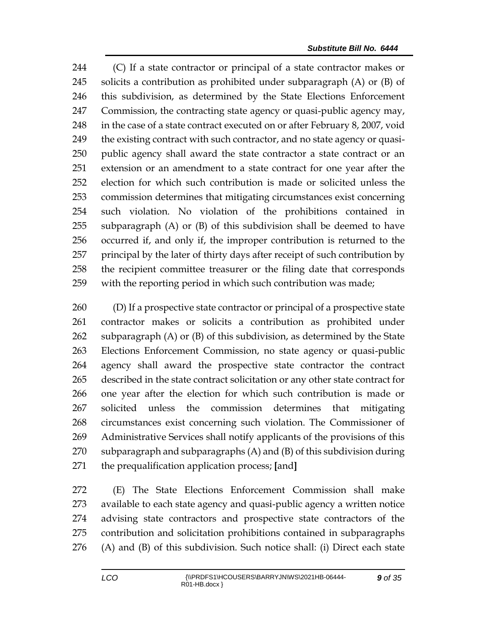(C) If a state contractor or principal of a state contractor makes or solicits a contribution as prohibited under subparagraph (A) or (B) of this subdivision, as determined by the State Elections Enforcement Commission, the contracting state agency or quasi-public agency may, 248 in the case of a state contract executed on or after February 8, 2007, void 249 the existing contract with such contractor, and no state agency or quasi- public agency shall award the state contractor a state contract or an extension or an amendment to a state contract for one year after the election for which such contribution is made or solicited unless the commission determines that mitigating circumstances exist concerning such violation. No violation of the prohibitions contained in subparagraph (A) or (B) of this subdivision shall be deemed to have occurred if, and only if, the improper contribution is returned to the principal by the later of thirty days after receipt of such contribution by the recipient committee treasurer or the filing date that corresponds with the reporting period in which such contribution was made;

 (D) If a prospective state contractor or principal of a prospective state contractor makes or solicits a contribution as prohibited under subparagraph (A) or (B) of this subdivision, as determined by the State Elections Enforcement Commission, no state agency or quasi-public agency shall award the prospective state contractor the contract described in the state contract solicitation or any other state contract for one year after the election for which such contribution is made or solicited unless the commission determines that mitigating circumstances exist concerning such violation. The Commissioner of Administrative Services shall notify applicants of the provisions of this subparagraph and subparagraphs (A) and (B) of this subdivision during the prequalification application process; **[**and**]**

 (E) The State Elections Enforcement Commission shall make available to each state agency and quasi-public agency a written notice advising state contractors and prospective state contractors of the contribution and solicitation prohibitions contained in subparagraphs (A) and (B) of this subdivision. Such notice shall: (i) Direct each state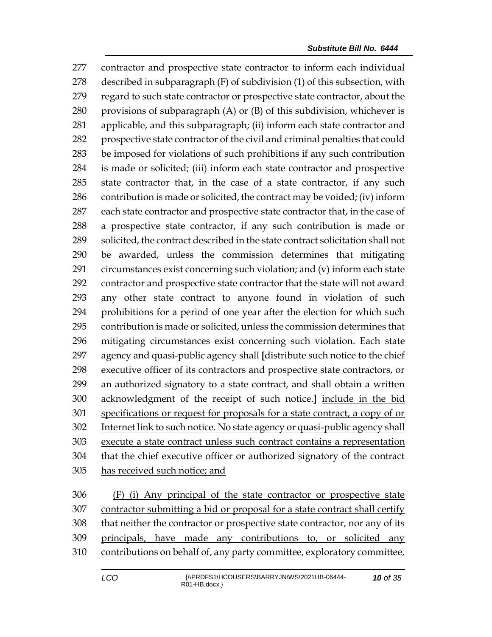contractor and prospective state contractor to inform each individual described in subparagraph (F) of subdivision (1) of this subsection, with regard to such state contractor or prospective state contractor, about the 280 provisions of subparagraph  $(A)$  or  $(B)$  of this subdivision, whichever is applicable, and this subparagraph; (ii) inform each state contractor and prospective state contractor of the civil and criminal penalties that could be imposed for violations of such prohibitions if any such contribution is made or solicited; (iii) inform each state contractor and prospective state contractor that, in the case of a state contractor, if any such contribution is made or solicited, the contract may be voided; (iv) inform each state contractor and prospective state contractor that, in the case of a prospective state contractor, if any such contribution is made or solicited, the contract described in the state contract solicitation shall not be awarded, unless the commission determines that mitigating circumstances exist concerning such violation; and (v) inform each state contractor and prospective state contractor that the state will not award any other state contract to anyone found in violation of such prohibitions for a period of one year after the election for which such contribution is made or solicited, unless the commission determines that mitigating circumstances exist concerning such violation. Each state agency and quasi-public agency shall **[**distribute such notice to the chief executive officer of its contractors and prospective state contractors, or an authorized signatory to a state contract, and shall obtain a written acknowledgment of the receipt of such notice.**]** include in the bid specifications or request for proposals for a state contract, a copy of or Internet link to such notice. No state agency or quasi-public agency shall execute a state contract unless such contract contains a representation that the chief executive officer or authorized signatory of the contract has received such notice; and

 (F) (i) Any principal of the state contractor or prospective state contractor submitting a bid or proposal for a state contract shall certify that neither the contractor or prospective state contractor, nor any of its principals, have made any contributions to, or solicited any contributions on behalf of, any party committee, exploratory committee,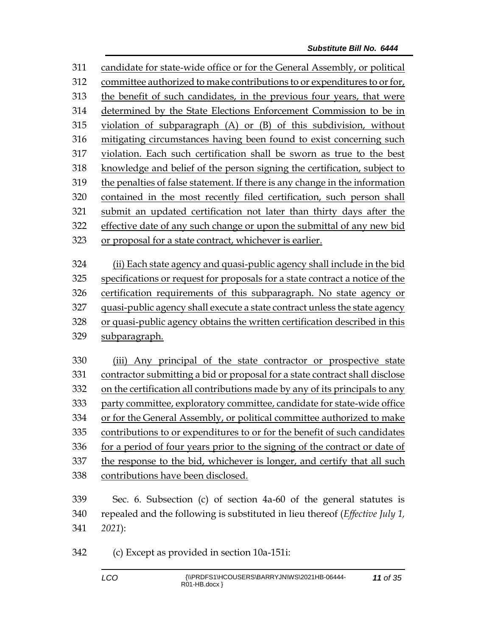candidate for state-wide office or for the General Assembly, or political committee authorized to make contributions to or expenditures to or for, the benefit of such candidates, in the previous four years, that were determined by the State Elections Enforcement Commission to be in violation of subparagraph (A) or (B) of this subdivision, without mitigating circumstances having been found to exist concerning such violation. Each such certification shall be sworn as true to the best knowledge and belief of the person signing the certification, subject to the penalties of false statement. If there is any change in the information contained in the most recently filed certification, such person shall submit an updated certification not later than thirty days after the effective date of any such change or upon the submittal of any new bid or proposal for a state contract, whichever is earlier. (ii) Each state agency and quasi-public agency shall include in the bid specifications or request for proposals for a state contract a notice of the certification requirements of this subparagraph. No state agency or quasi-public agency shall execute a state contract unless the state agency 328 or quasi-public agency obtains the written certification described in this subparagraph.

 (iii) Any principal of the state contractor or prospective state contractor submitting a bid or proposal for a state contract shall disclose on the certification all contributions made by any of its principals to any party committee, exploratory committee, candidate for state-wide office or for the General Assembly, or political committee authorized to make contributions to or expenditures to or for the benefit of such candidates for a period of four years prior to the signing of the contract or date of the response to the bid, whichever is longer, and certify that all such contributions have been disclosed.

 Sec. 6. Subsection (c) of section 4a-60 of the general statutes is repealed and the following is substituted in lieu thereof (*Effective July 1, 2021*):

(c) Except as provided in section 10a-151i: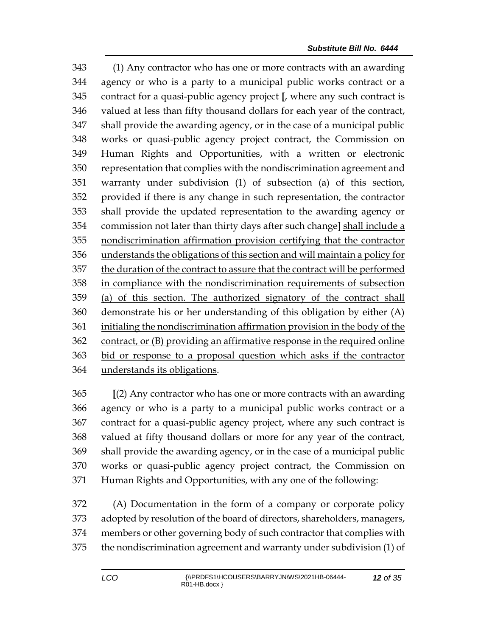(1) Any contractor who has one or more contracts with an awarding agency or who is a party to a municipal public works contract or a contract for a quasi-public agency project **[**, where any such contract is valued at less than fifty thousand dollars for each year of the contract, shall provide the awarding agency, or in the case of a municipal public works or quasi-public agency project contract, the Commission on Human Rights and Opportunities, with a written or electronic representation that complies with the nondiscrimination agreement and warranty under subdivision (1) of subsection (a) of this section, provided if there is any change in such representation, the contractor shall provide the updated representation to the awarding agency or commission not later than thirty days after such change**]** shall include a nondiscrimination affirmation provision certifying that the contractor understands the obligations of this section and will maintain a policy for the duration of the contract to assure that the contract will be performed in compliance with the nondiscrimination requirements of subsection (a) of this section. The authorized signatory of the contract shall demonstrate his or her understanding of this obligation by either (A) initialing the nondiscrimination affirmation provision in the body of the contract, or (B) providing an affirmative response in the required online bid or response to a proposal question which asks if the contractor understands its obligations.

 **[**(2) Any contractor who has one or more contracts with an awarding agency or who is a party to a municipal public works contract or a contract for a quasi-public agency project, where any such contract is valued at fifty thousand dollars or more for any year of the contract, shall provide the awarding agency, or in the case of a municipal public works or quasi-public agency project contract, the Commission on Human Rights and Opportunities, with any one of the following:

 (A) Documentation in the form of a company or corporate policy adopted by resolution of the board of directors, shareholders, managers, members or other governing body of such contractor that complies with the nondiscrimination agreement and warranty under subdivision (1) of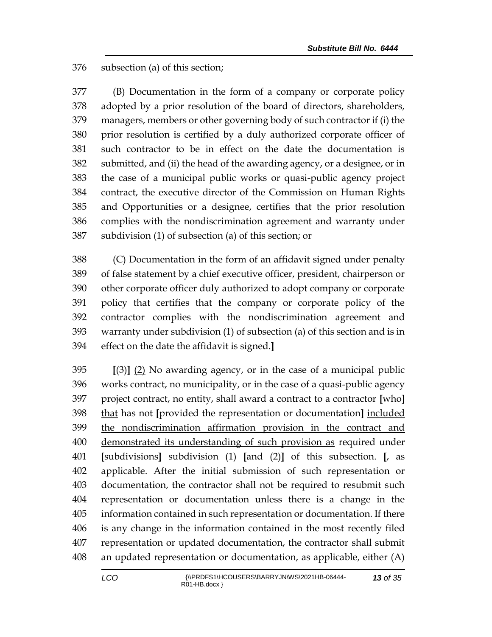subsection (a) of this section;

 (B) Documentation in the form of a company or corporate policy adopted by a prior resolution of the board of directors, shareholders, managers, members or other governing body of such contractor if (i) the prior resolution is certified by a duly authorized corporate officer of such contractor to be in effect on the date the documentation is submitted, and (ii) the head of the awarding agency, or a designee, or in the case of a municipal public works or quasi-public agency project contract, the executive director of the Commission on Human Rights and Opportunities or a designee, certifies that the prior resolution complies with the nondiscrimination agreement and warranty under subdivision (1) of subsection (a) of this section; or

 (C) Documentation in the form of an affidavit signed under penalty of false statement by a chief executive officer, president, chairperson or other corporate officer duly authorized to adopt company or corporate policy that certifies that the company or corporate policy of the contractor complies with the nondiscrimination agreement and warranty under subdivision (1) of subsection (a) of this section and is in effect on the date the affidavit is signed.**]**

 **[**(3)**]** (2) No awarding agency, or in the case of a municipal public works contract, no municipality, or in the case of a quasi-public agency project contract, no entity, shall award a contract to a contractor **[**who**]** that has not **[**provided the representation or documentation**]** included the nondiscrimination affirmation provision in the contract and demonstrated its understanding of such provision as required under **[**subdivisions**]** subdivision (1) **[**and (2)**]** of this subsection. **[**, as applicable. After the initial submission of such representation or documentation, the contractor shall not be required to resubmit such representation or documentation unless there is a change in the information contained in such representation or documentation. If there is any change in the information contained in the most recently filed representation or updated documentation, the contractor shall submit an updated representation or documentation, as applicable, either (A)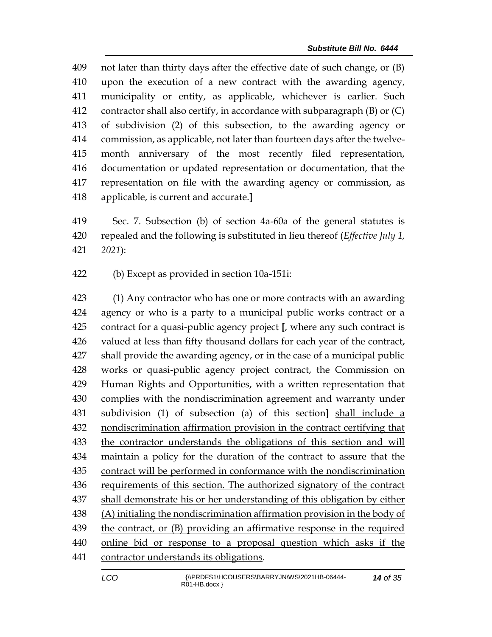not later than thirty days after the effective date of such change, or (B) upon the execution of a new contract with the awarding agency, municipality or entity, as applicable, whichever is earlier. Such contractor shall also certify, in accordance with subparagraph (B) or (C) of subdivision (2) of this subsection, to the awarding agency or commission, as applicable, not later than fourteen days after the twelve- month anniversary of the most recently filed representation, documentation or updated representation or documentation, that the representation on file with the awarding agency or commission, as applicable, is current and accurate.**]**

 Sec. 7. Subsection (b) of section 4a-60a of the general statutes is repealed and the following is substituted in lieu thereof (*Effective July 1, 2021*):

(b) Except as provided in section 10a-151i:

 (1) Any contractor who has one or more contracts with an awarding agency or who is a party to a municipal public works contract or a contract for a quasi-public agency project **[**, where any such contract is valued at less than fifty thousand dollars for each year of the contract, shall provide the awarding agency, or in the case of a municipal public works or quasi-public agency project contract, the Commission on Human Rights and Opportunities, with a written representation that complies with the nondiscrimination agreement and warranty under subdivision (1) of subsection (a) of this section**]** shall include a nondiscrimination affirmation provision in the contract certifying that the contractor understands the obligations of this section and will maintain a policy for the duration of the contract to assure that the contract will be performed in conformance with the nondiscrimination 436 requirements of this section. The authorized signatory of the contract shall demonstrate his or her understanding of this obligation by either (A) initialing the nondiscrimination affirmation provision in the body of the contract, or (B) providing an affirmative response in the required online bid or response to a proposal question which asks if the contractor understands its obligations.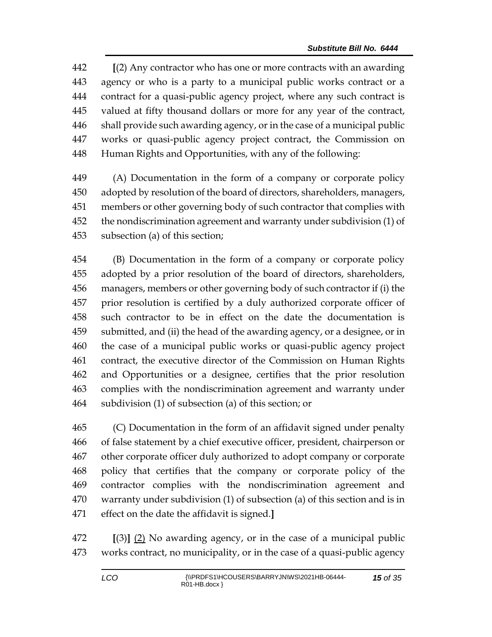**[**(2) Any contractor who has one or more contracts with an awarding agency or who is a party to a municipal public works contract or a contract for a quasi-public agency project, where any such contract is valued at fifty thousand dollars or more for any year of the contract, shall provide such awarding agency, or in the case of a municipal public works or quasi-public agency project contract, the Commission on Human Rights and Opportunities, with any of the following:

 (A) Documentation in the form of a company or corporate policy adopted by resolution of the board of directors, shareholders, managers, members or other governing body of such contractor that complies with the nondiscrimination agreement and warranty under subdivision (1) of subsection (a) of this section;

 (B) Documentation in the form of a company or corporate policy adopted by a prior resolution of the board of directors, shareholders, managers, members or other governing body of such contractor if (i) the prior resolution is certified by a duly authorized corporate officer of such contractor to be in effect on the date the documentation is submitted, and (ii) the head of the awarding agency, or a designee, or in the case of a municipal public works or quasi-public agency project contract, the executive director of the Commission on Human Rights and Opportunities or a designee, certifies that the prior resolution complies with the nondiscrimination agreement and warranty under subdivision (1) of subsection (a) of this section; or

 (C) Documentation in the form of an affidavit signed under penalty of false statement by a chief executive officer, president, chairperson or other corporate officer duly authorized to adopt company or corporate policy that certifies that the company or corporate policy of the contractor complies with the nondiscrimination agreement and warranty under subdivision (1) of subsection (a) of this section and is in effect on the date the affidavit is signed.**]**

 **[**(3)**]** (2) No awarding agency, or in the case of a municipal public works contract, no municipality, or in the case of a quasi-public agency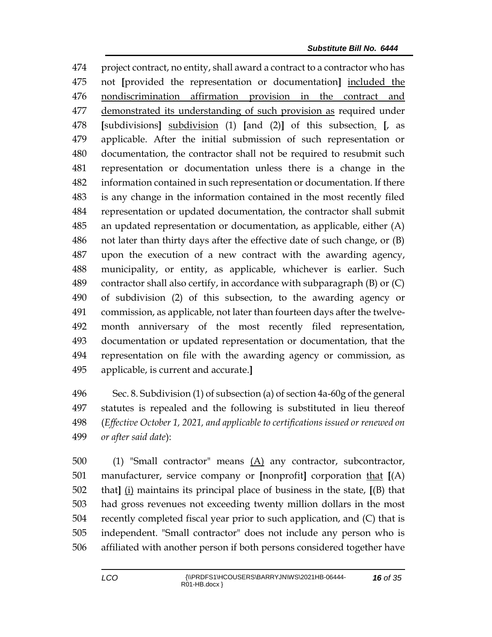project contract, no entity, shall award a contract to a contractor who has not **[**provided the representation or documentation**]** included the nondiscrimination affirmation provision in the contract and demonstrated its understanding of such provision as required under **[**subdivisions**]** subdivision (1) **[**and (2)**]** of this subsection. **[**, as applicable. After the initial submission of such representation or documentation, the contractor shall not be required to resubmit such representation or documentation unless there is a change in the information contained in such representation or documentation. If there is any change in the information contained in the most recently filed representation or updated documentation, the contractor shall submit an updated representation or documentation, as applicable, either (A) not later than thirty days after the effective date of such change, or (B) upon the execution of a new contract with the awarding agency, municipality, or entity, as applicable, whichever is earlier. Such contractor shall also certify, in accordance with subparagraph (B) or (C) of subdivision (2) of this subsection, to the awarding agency or commission, as applicable, not later than fourteen days after the twelve- month anniversary of the most recently filed representation, documentation or updated representation or documentation, that the representation on file with the awarding agency or commission, as applicable, is current and accurate.**]**

 Sec. 8. Subdivision (1) of subsection (a) of section 4a-60g of the general statutes is repealed and the following is substituted in lieu thereof (*Effective October 1, 2021, and applicable to certifications issued or renewed on or after said date*):

 (1) "Small contractor" means (A) any contractor, subcontractor, manufacturer, service company or **[**nonprofit**]** corporation that **[**(A) that**]** (i) maintains its principal place of business in the state, **[**(B) that had gross revenues not exceeding twenty million dollars in the most recently completed fiscal year prior to such application, and (C) that is independent. "Small contractor" does not include any person who is affiliated with another person if both persons considered together have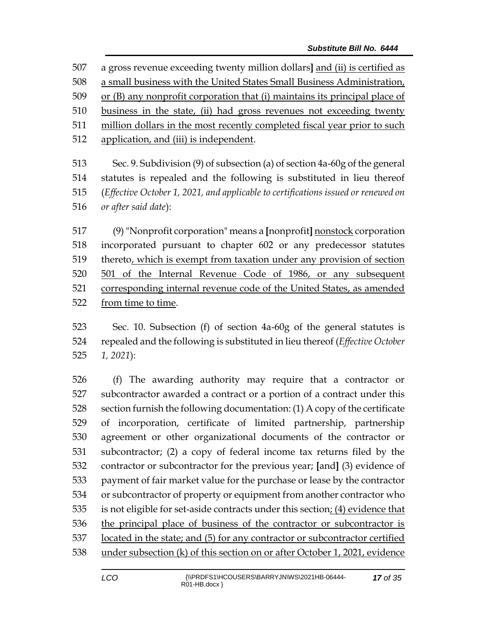a gross revenue exceeding twenty million dollars**]** and (ii) is certified as

a small business with the United States Small Business Administration,

or (B) any nonprofit corporation that (i) maintains its principal place of

business in the state, (ii) had gross revenues not exceeding twenty

million dollars in the most recently completed fiscal year prior to such

application, and (iii) is independent.

 Sec. 9. Subdivision (9) of subsection (a) of section 4a-60g of the general statutes is repealed and the following is substituted in lieu thereof (*Effective October 1, 2021, and applicable to certifications issued or renewed on or after said date*):

 (9)"Nonprofit corporation" means a **[**nonprofit**]** nonstock corporation incorporated pursuant to chapter 602 or any predecessor statutes thereto, which is exempt from taxation under any provision of section 501 of the Internal Revenue Code of 1986, or any subsequent corresponding internal revenue code of the United States, as amended from time to time.

 Sec. 10. Subsection (f) of section 4a-60g of the general statutes is repealed and the following is substituted in lieu thereof (*Effective October 1, 2021*):

 (f) The awarding authority may require that a contractor or subcontractor awarded a contract or a portion of a contract under this section furnish the following documentation: (1) A copy of the certificate of incorporation, certificate of limited partnership, partnership agreement or other organizational documents of the contractor or subcontractor; (2) a copy of federal income tax returns filed by the contractor or subcontractor for the previous year; **[**and**]** (3) evidence of payment of fair market value for the purchase or lease by the contractor or subcontractor of property or equipment from another contractor who is not eligible for set-aside contracts under this section; (4) evidence that the principal place of business of the contractor or subcontractor is located in the state; and (5) for any contractor or subcontractor certified under subsection (k) of this section on or after October 1, 2021, evidence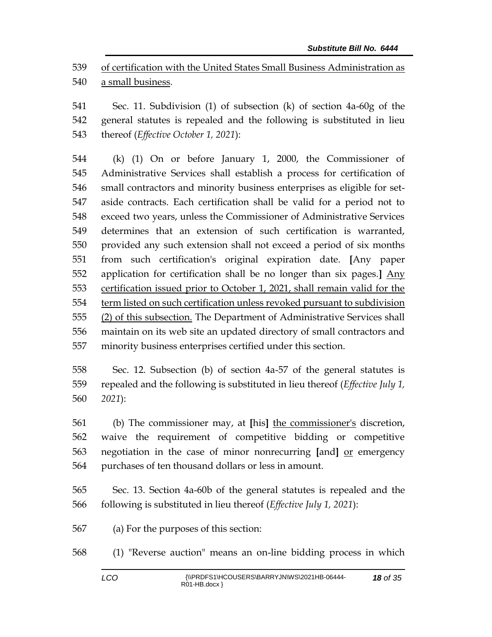of certification with the United States Small Business Administration as a small business.

 Sec. 11. Subdivision (1) of subsection (k) of section 4a-60g of the general statutes is repealed and the following is substituted in lieu thereof (*Effective October 1, 2021*):

 (k) (1) On or before January 1, 2000, the Commissioner of Administrative Services shall establish a process for certification of small contractors and minority business enterprises as eligible for set- aside contracts. Each certification shall be valid for a period not to exceed two years, unless the Commissioner of Administrative Services determines that an extension of such certification is warranted, provided any such extension shall not exceed a period of six months from such certification's original expiration date. **[**Any paper application for certification shall be no longer than six pages.**]** Any certification issued prior to October 1, 2021, shall remain valid for the term listed on such certification unless revoked pursuant to subdivision (2) of this subsection. The Department of Administrative Services shall maintain on its web site an updated directory of small contractors and minority business enterprises certified under this section.

 Sec. 12. Subsection (b) of section 4a-57 of the general statutes is repealed and the following is substituted in lieu thereof (*Effective July 1, 2021*):

 (b) The commissioner may, at **[**his**]** the commissioner's discretion, waive the requirement of competitive bidding or competitive negotiation in the case of minor nonrecurring **[**and**]** or emergency purchases of ten thousand dollars or less in amount.

 Sec. 13. Section 4a-60b of the general statutes is repealed and the following is substituted in lieu thereof (*Effective July 1, 2021*):

(a) For the purposes of this section:

(1) "Reverse auction" means an on-line bidding process in which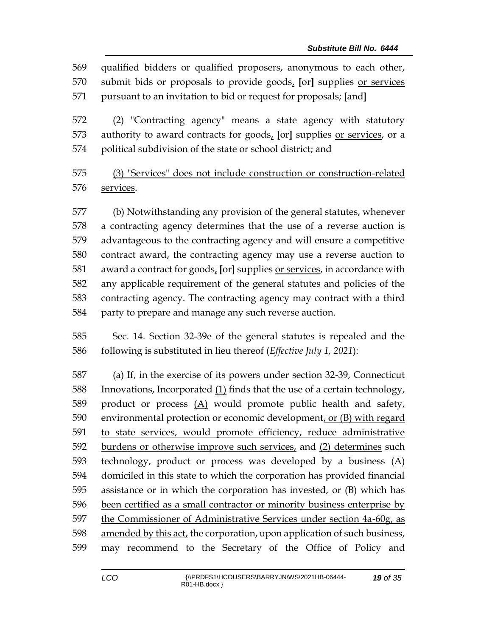qualified bidders or qualified proposers, anonymous to each other, submit bids or proposals to provide goods, **[**or**]** supplies or services pursuant to an invitation to bid or request for proposals; **[**and**]**

 (2) "Contracting agency" means a state agency with statutory authority to award contracts for goods, **[**or**]** supplies or services, or a 574 political subdivision of the state or school district; and

 (3) "Services" does not include construction or construction-related services.

 (b) Notwithstanding any provision of the general statutes, whenever a contracting agency determines that the use of a reverse auction is advantageous to the contracting agency and will ensure a competitive contract award, the contracting agency may use a reverse auction to award a contract for goods, **[**or**]** supplies or services, in accordance with any applicable requirement of the general statutes and policies of the contracting agency. The contracting agency may contract with a third party to prepare and manage any such reverse auction.

 Sec. 14. Section 32-39e of the general statutes is repealed and the following is substituted in lieu thereof (*Effective July 1, 2021*):

 (a) If, in the exercise of its powers under section 32-39, Connecticut Innovations, Incorporated (1) finds that the use of a certain technology, product or process (A) would promote public health and safety, environmental protection or economic development, or (B) with regard to state services, would promote efficiency, reduce administrative burdens or otherwise improve such services, and (2) determines such technology, product or process was developed by a business (A) domiciled in this state to which the corporation has provided financial assistance or in which the corporation has invested, or (B) which has been certified as a small contractor or minority business enterprise by the Commissioner of Administrative Services under section 4a-60g, as amended by this act, the corporation, upon application of such business, may recommend to the Secretary of the Office of Policy and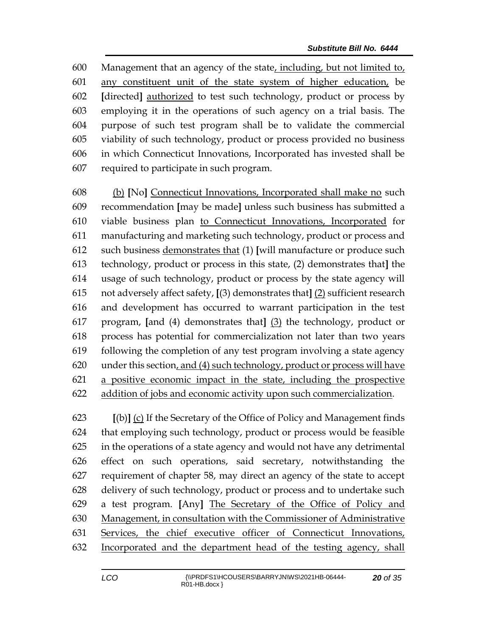Management that an agency of the state, including, but not limited to, any constituent unit of the state system of higher education, be **[**directed**]** authorized to test such technology, product or process by employing it in the operations of such agency on a trial basis. The purpose of such test program shall be to validate the commercial viability of such technology, product or process provided no business in which Connecticut Innovations, Incorporated has invested shall be required to participate in such program.

 (b) **[**No**]** Connecticut Innovations, Incorporated shall make no such recommendation **[**may be made**]** unless such business has submitted a viable business plan to Connecticut Innovations, Incorporated for manufacturing and marketing such technology, product or process and such business demonstrates that (1) **[**will manufacture or produce such technology, product or process in this state, (2) demonstrates that**]** the usage of such technology, product or process by the state agency will not adversely affect safety, **[**(3) demonstrates that**]** (2) sufficient research and development has occurred to warrant participation in the test program, **[**and (4) demonstrates that**]** (3) the technology, product or process has potential for commercialization not later than two years following the completion of any test program involving a state agency under this section, and (4) such technology, product or process will have a positive economic impact in the state, including the prospective addition of jobs and economic activity upon such commercialization.

 **[**(b)**]** (c) If the Secretary of the Office of Policy and Management finds that employing such technology, product or process would be feasible in the operations of a state agency and would not have any detrimental effect on such operations, said secretary, notwithstanding the requirement of chapter 58, may direct an agency of the state to accept delivery of such technology, product or process and to undertake such a test program. **[**Any**]** The Secretary of the Office of Policy and Management, in consultation with the Commissioner of Administrative Services, the chief executive officer of Connecticut Innovations, Incorporated and the department head of the testing agency, shall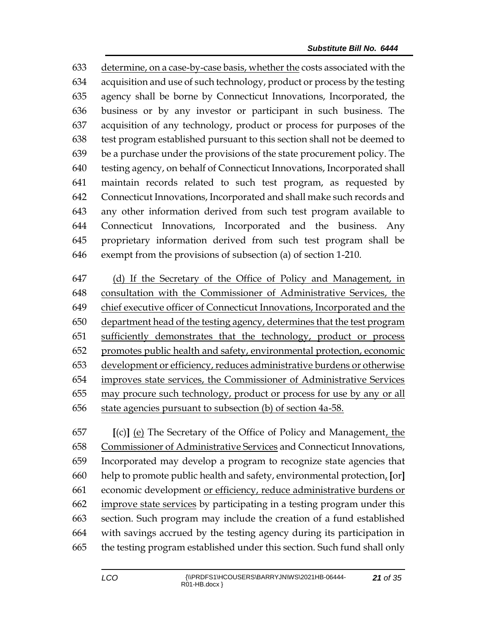determine, on a case-by-case basis, whether the costs associated with the acquisition and use of such technology, product or process by the testing agency shall be borne by Connecticut Innovations, Incorporated, the business or by any investor or participant in such business. The acquisition of any technology, product or process for purposes of the test program established pursuant to this section shall not be deemed to be a purchase under the provisions of the state procurement policy. The testing agency, on behalf of Connecticut Innovations, Incorporated shall maintain records related to such test program, as requested by Connecticut Innovations, Incorporated and shall make such records and any other information derived from such test program available to Connecticut Innovations, Incorporated and the business. Any proprietary information derived from such test program shall be exempt from the provisions of subsection (a) of section 1-210.

 (d) If the Secretary of the Office of Policy and Management, in consultation with the Commissioner of Administrative Services, the chief executive officer of Connecticut Innovations, Incorporated and the 650 department head of the testing agency, determines that the test program sufficiently demonstrates that the technology, product or process 652 promotes public health and safety, environmental protection, economic development or efficiency, reduces administrative burdens or otherwise improves state services, the Commissioner of Administrative Services may procure such technology, product or process for use by any or all state agencies pursuant to subsection (b) of section 4a-58.

 **[**(c)**]** (e) The Secretary of the Office of Policy and Management, the Commissioner of Administrative Services and Connecticut Innovations, Incorporated may develop a program to recognize state agencies that help to promote public health and safety, environmental protection, **[**or**]** economic development or efficiency, reduce administrative burdens or improve state services by participating in a testing program under this section. Such program may include the creation of a fund established with savings accrued by the testing agency during its participation in the testing program established under this section. Such fund shall only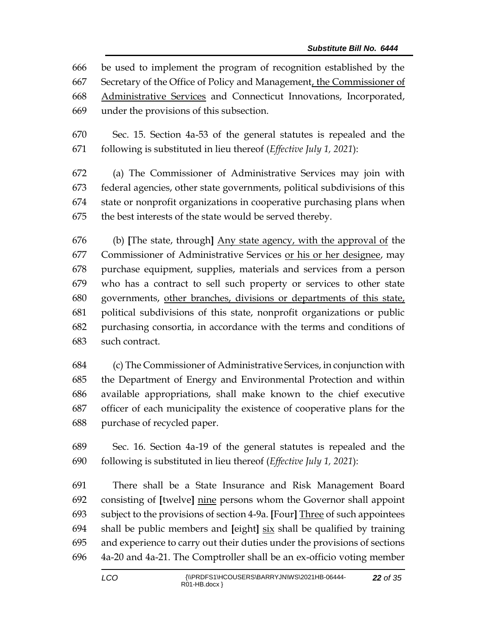be used to implement the program of recognition established by the Secretary of the Office of Policy and Management, the Commissioner of Administrative Services and Connecticut Innovations, Incorporated, under the provisions of this subsection.

 Sec. 15. Section 4a-53 of the general statutes is repealed and the following is substituted in lieu thereof (*Effective July 1, 2021*):

 (a) The Commissioner of Administrative Services may join with federal agencies, other state governments, political subdivisions of this state or nonprofit organizations in cooperative purchasing plans when the best interests of the state would be served thereby.

 (b) **[**The state, through**]** Any state agency, with the approval of the Commissioner of Administrative Services or his or her designee, may purchase equipment, supplies, materials and services from a person who has a contract to sell such property or services to other state governments, other branches, divisions or departments of this state, political subdivisions of this state, nonprofit organizations or public purchasing consortia, in accordance with the terms and conditions of such contract.

 (c) The Commissioner of Administrative Services, in conjunction with the Department of Energy and Environmental Protection and within available appropriations, shall make known to the chief executive officer of each municipality the existence of cooperative plans for the purchase of recycled paper.

 Sec. 16. Section 4a-19 of the general statutes is repealed and the following is substituted in lieu thereof (*Effective July 1, 2021*):

 There shall be a State Insurance and Risk Management Board consisting of **[**twelve**]** nine persons whom the Governor shall appoint subject to the provisions of section 4-9a. **[**Four**]** Three of such appointees shall be public members and **[**eight**]** six shall be qualified by training and experience to carry out their duties under the provisions of sections 4a-20 and 4a-21. The Comptroller shall be an ex-officio voting member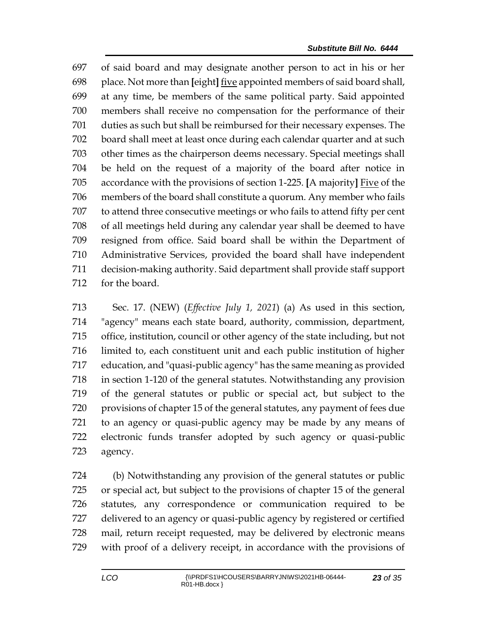of said board and may designate another person to act in his or her place. Not more than **[**eight**]** five appointed members of said board shall, at any time, be members of the same political party. Said appointed members shall receive no compensation for the performance of their duties as such but shall be reimbursed for their necessary expenses. The board shall meet at least once during each calendar quarter and at such other times as the chairperson deems necessary. Special meetings shall be held on the request of a majority of the board after notice in accordance with the provisions of section 1-225. **[**A majority**]** Five of the members of the board shall constitute a quorum. Any member who fails to attend three consecutive meetings or who fails to attend fifty per cent of all meetings held during any calendar year shall be deemed to have resigned from office. Said board shall be within the Department of Administrative Services, provided the board shall have independent decision-making authority. Said department shall provide staff support for the board.

 Sec. 17. (NEW) (*Effective July 1, 2021*) (a) As used in this section, "agency" means each state board, authority, commission, department, office, institution, council or other agency of the state including, but not limited to, each constituent unit and each public institution of higher education, and "quasi-public agency" has the same meaning as provided in section 1-120 of the general statutes. Notwithstanding any provision of the general statutes or public or special act, but subject to the provisions of chapter 15 of the general statutes, any payment of fees due to an agency or quasi-public agency may be made by any means of electronic funds transfer adopted by such agency or quasi-public agency.

 (b) Notwithstanding any provision of the general statutes or public or special act, but subject to the provisions of chapter 15 of the general statutes, any correspondence or communication required to be delivered to an agency or quasi-public agency by registered or certified mail, return receipt requested, may be delivered by electronic means with proof of a delivery receipt, in accordance with the provisions of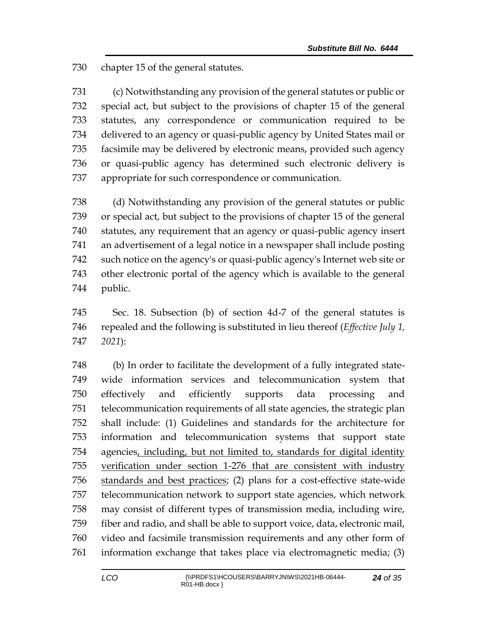chapter 15 of the general statutes.

 (c) Notwithstanding any provision of the general statutes or public or special act, but subject to the provisions of chapter 15 of the general statutes, any correspondence or communication required to be delivered to an agency or quasi-public agency by United States mail or facsimile may be delivered by electronic means, provided such agency or quasi-public agency has determined such electronic delivery is appropriate for such correspondence or communication.

 (d) Notwithstanding any provision of the general statutes or public or special act, but subject to the provisions of chapter 15 of the general statutes, any requirement that an agency or quasi-public agency insert an advertisement of a legal notice in a newspaper shall include posting such notice on the agency's or quasi-public agency's Internet web site or other electronic portal of the agency which is available to the general public.

 Sec. 18. Subsection (b) of section 4d-7 of the general statutes is repealed and the following is substituted in lieu thereof (*Effective July 1, 2021*):

 (b) In order to facilitate the development of a fully integrated state- wide information services and telecommunication system that effectively and efficiently supports data processing and telecommunication requirements of all state agencies, the strategic plan shall include: (1) Guidelines and standards for the architecture for information and telecommunication systems that support state agencies, including, but not limited to, standards for digital identity verification under section 1-276 that are consistent with industry standards and best practices; (2) plans for a cost-effective state-wide telecommunication network to support state agencies, which network may consist of different types of transmission media, including wire, fiber and radio, and shall be able to support voice, data, electronic mail, video and facsimile transmission requirements and any other form of information exchange that takes place via electromagnetic media; (3)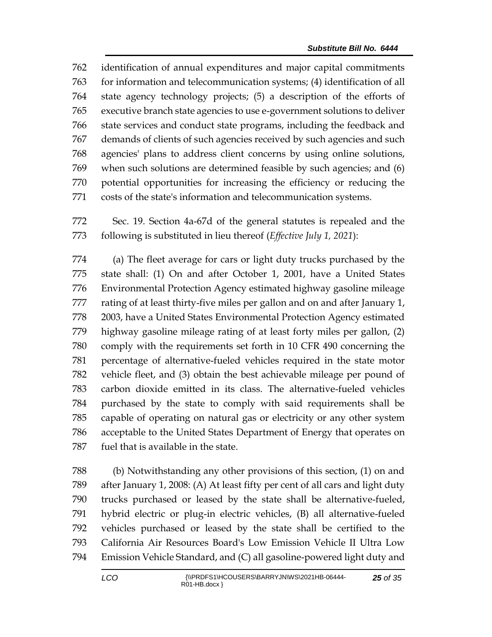identification of annual expenditures and major capital commitments for information and telecommunication systems; (4) identification of all state agency technology projects; (5) a description of the efforts of executive branch state agencies to use e-government solutions to deliver state services and conduct state programs, including the feedback and demands of clients of such agencies received by such agencies and such agencies' plans to address client concerns by using online solutions, when such solutions are determined feasible by such agencies; and (6) potential opportunities for increasing the efficiency or reducing the costs of the state's information and telecommunication systems.

 Sec. 19. Section 4a-67d of the general statutes is repealed and the following is substituted in lieu thereof (*Effective July 1, 2021*):

 (a) The fleet average for cars or light duty trucks purchased by the state shall: (1) On and after October 1, 2001, have a United States Environmental Protection Agency estimated highway gasoline mileage rating of at least thirty-five miles per gallon and on and after January 1, 2003, have a United States Environmental Protection Agency estimated highway gasoline mileage rating of at least forty miles per gallon, (2) comply with the requirements set forth in 10 CFR 490 concerning the percentage of alternative-fueled vehicles required in the state motor vehicle fleet, and (3) obtain the best achievable mileage per pound of carbon dioxide emitted in its class. The alternative-fueled vehicles purchased by the state to comply with said requirements shall be capable of operating on natural gas or electricity or any other system acceptable to the United States Department of Energy that operates on fuel that is available in the state.

 (b) Notwithstanding any other provisions of this section, (1) on and after January 1, 2008: (A) At least fifty per cent of all cars and light duty trucks purchased or leased by the state shall be alternative-fueled, hybrid electric or plug-in electric vehicles, (B) all alternative-fueled vehicles purchased or leased by the state shall be certified to the California Air Resources Board's Low Emission Vehicle II Ultra Low Emission Vehicle Standard, and (C) all gasoline-powered light duty and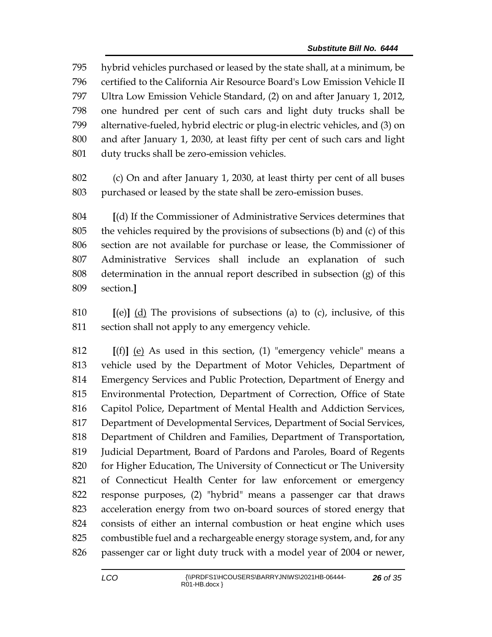hybrid vehicles purchased or leased by the state shall, at a minimum, be certified to the California Air Resource Board's Low Emission Vehicle II Ultra Low Emission Vehicle Standard, (2) on and after January 1, 2012, one hundred per cent of such cars and light duty trucks shall be alternative-fueled, hybrid electric or plug-in electric vehicles, and (3) on and after January 1, 2030, at least fifty per cent of such cars and light duty trucks shall be zero-emission vehicles.

 (c) On and after January 1, 2030, at least thirty per cent of all buses purchased or leased by the state shall be zero-emission buses.

 **[**(d) If the Commissioner of Administrative Services determines that the vehicles required by the provisions of subsections (b) and (c) of this section are not available for purchase or lease, the Commissioner of Administrative Services shall include an explanation of such determination in the annual report described in subsection (g) of this section.**]**

 **[**(e)**]** (d) The provisions of subsections (a) to (c), inclusive, of this section shall not apply to any emergency vehicle.

 **[**(f)**]** (e) As used in this section, (1) "emergency vehicle" means a vehicle used by the Department of Motor Vehicles, Department of Emergency Services and Public Protection, Department of Energy and Environmental Protection, Department of Correction, Office of State Capitol Police, Department of Mental Health and Addiction Services, Department of Developmental Services, Department of Social Services, Department of Children and Families, Department of Transportation, Judicial Department, Board of Pardons and Paroles, Board of Regents for Higher Education, The University of Connecticut or The University of Connecticut Health Center for law enforcement or emergency response purposes, (2) "hybrid" means a passenger car that draws acceleration energy from two on-board sources of stored energy that consists of either an internal combustion or heat engine which uses combustible fuel and a rechargeable energy storage system, and, for any passenger car or light duty truck with a model year of 2004 or newer,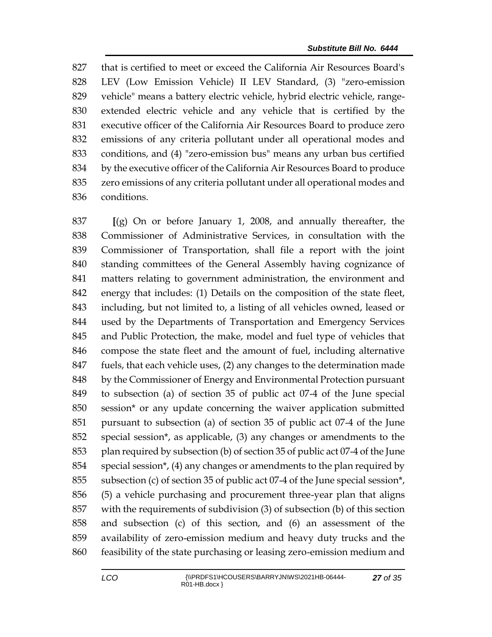that is certified to meet or exceed the California Air Resources Board's LEV (Low Emission Vehicle) II LEV Standard, (3) "zero-emission vehicle" means a battery electric vehicle, hybrid electric vehicle, range- extended electric vehicle and any vehicle that is certified by the executive officer of the California Air Resources Board to produce zero emissions of any criteria pollutant under all operational modes and conditions, and (4) "zero-emission bus" means any urban bus certified by the executive officer of the California Air Resources Board to produce zero emissions of any criteria pollutant under all operational modes and conditions.

 **[**(g) On or before January 1, 2008, and annually thereafter, the Commissioner of Administrative Services, in consultation with the Commissioner of Transportation, shall file a report with the joint standing committees of the General Assembly having cognizance of matters relating to government administration, the environment and energy that includes: (1) Details on the composition of the state fleet, including, but not limited to, a listing of all vehicles owned, leased or used by the Departments of Transportation and Emergency Services and Public Protection, the make, model and fuel type of vehicles that compose the state fleet and the amount of fuel, including alternative fuels, that each vehicle uses, (2) any changes to the determination made by the Commissioner of Energy and Environmental Protection pursuant to subsection (a) of section 35 of public act 07-4 of the June special session\* or any update concerning the waiver application submitted pursuant to subsection (a) of section 35 of public act 07-4 of the June special session\*, as applicable, (3) any changes or amendments to the plan required by subsection (b) of section 35 of public act 07-4 of the June special session\*, (4) any changes or amendments to the plan required by subsection (c) of section 35 of public act 07-4 of the June special session\*, (5) a vehicle purchasing and procurement three-year plan that aligns with the requirements of subdivision (3) of subsection (b) of this section and subsection (c) of this section, and (6) an assessment of the availability of zero-emission medium and heavy duty trucks and the feasibility of the state purchasing or leasing zero-emission medium and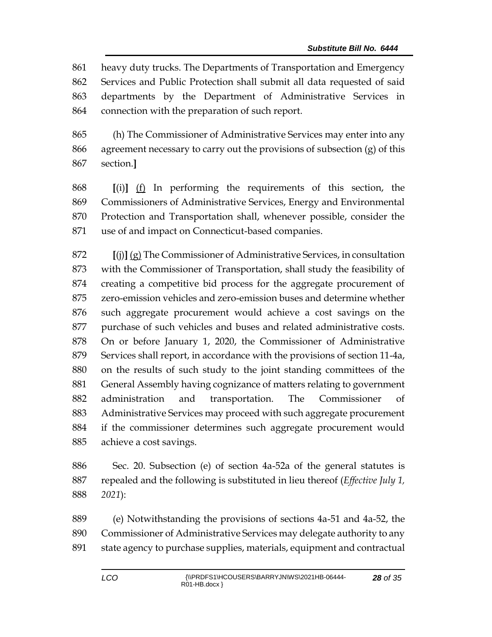heavy duty trucks. The Departments of Transportation and Emergency Services and Public Protection shall submit all data requested of said departments by the Department of Administrative Services in connection with the preparation of such report.

 (h) The Commissioner of Administrative Services may enter into any agreement necessary to carry out the provisions of subsection (g) of this section.**]**

 **[**(i)**]** (f) In performing the requirements of this section, the Commissioners of Administrative Services, Energy and Environmental Protection and Transportation shall, whenever possible, consider the use of and impact on Connecticut-based companies.

 **[**(j)**]** (g) The Commissioner of Administrative Services, in consultation with the Commissioner of Transportation, shall study the feasibility of creating a competitive bid process for the aggregate procurement of zero-emission vehicles and zero-emission buses and determine whether such aggregate procurement would achieve a cost savings on the purchase of such vehicles and buses and related administrative costs. On or before January 1, 2020, the Commissioner of Administrative Services shall report, in accordance with the provisions of section 11-4a, on the results of such study to the joint standing committees of the General Assembly having cognizance of matters relating to government administration and transportation. The Commissioner of Administrative Services may proceed with such aggregate procurement if the commissioner determines such aggregate procurement would achieve a cost savings.

 Sec. 20. Subsection (e) of section 4a-52a of the general statutes is repealed and the following is substituted in lieu thereof (*Effective July 1, 2021*):

 (e) Notwithstanding the provisions of sections 4a-51 and 4a-52, the Commissioner of Administrative Services may delegate authority to any state agency to purchase supplies, materials, equipment and contractual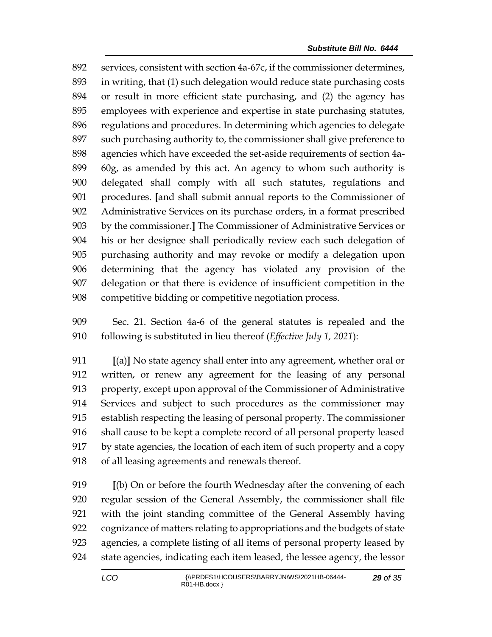services, consistent with section 4a-67c, if the commissioner determines, in writing, that (1) such delegation would reduce state purchasing costs or result in more efficient state purchasing, and (2) the agency has employees with experience and expertise in state purchasing statutes, regulations and procedures. In determining which agencies to delegate such purchasing authority to, the commissioner shall give preference to agencies which have exceeded the set-aside requirements of section 4a- 60g, as amended by this act. An agency to whom such authority is delegated shall comply with all such statutes, regulations and procedures. **[**and shall submit annual reports to the Commissioner of Administrative Services on its purchase orders, in a format prescribed by the commissioner.**]** The Commissioner of Administrative Services or his or her designee shall periodically review each such delegation of purchasing authority and may revoke or modify a delegation upon determining that the agency has violated any provision of the delegation or that there is evidence of insufficient competition in the competitive bidding or competitive negotiation process.

 Sec. 21. Section 4a-6 of the general statutes is repealed and the following is substituted in lieu thereof (*Effective July 1, 2021*):

 **[**(a)**]** No state agency shall enter into any agreement, whether oral or written, or renew any agreement for the leasing of any personal property, except upon approval of the Commissioner of Administrative Services and subject to such procedures as the commissioner may establish respecting the leasing of personal property. The commissioner shall cause to be kept a complete record of all personal property leased by state agencies, the location of each item of such property and a copy of all leasing agreements and renewals thereof.

 **[**(b) On or before the fourth Wednesday after the convening of each regular session of the General Assembly, the commissioner shall file with the joint standing committee of the General Assembly having cognizance of matters relating to appropriations and the budgets of state agencies, a complete listing of all items of personal property leased by state agencies, indicating each item leased, the lessee agency, the lessor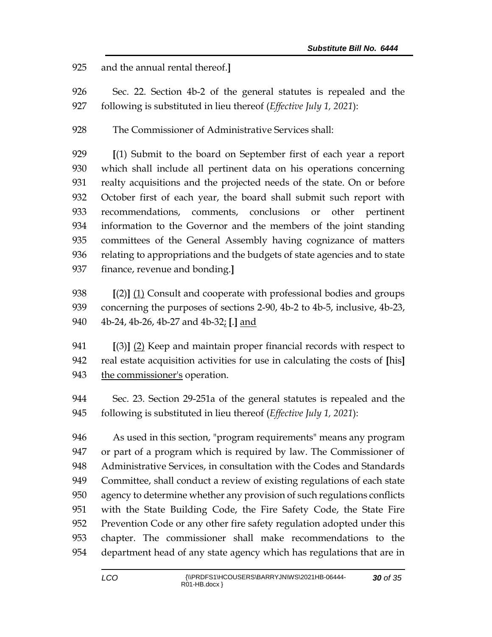and the annual rental thereof.**]**

- Sec. 22. Section 4b-2 of the general statutes is repealed and the following is substituted in lieu thereof (*Effective July 1, 2021*):
- The Commissioner of Administrative Services shall:

 **[**(1) Submit to the board on September first of each year a report which shall include all pertinent data on his operations concerning realty acquisitions and the projected needs of the state. On or before October first of each year, the board shall submit such report with recommendations, comments, conclusions or other pertinent information to the Governor and the members of the joint standing committees of the General Assembly having cognizance of matters relating to appropriations and the budgets of state agencies and to state finance, revenue and bonding.**]**

 **[**(2)**]** (1) Consult and cooperate with professional bodies and groups concerning the purposes of sections 2-90, 4b-2 to 4b-5, inclusive, 4b-23, 4b-24, 4b-26, 4b-27 and 4b-32; **[**.**]** and

 **[**(3)**]** (2) Keep and maintain proper financial records with respect to real estate acquisition activities for use in calculating the costs of **[**his**]** the commissioner's operation.

 Sec. 23. Section 29-251a of the general statutes is repealed and the following is substituted in lieu thereof (*Effective July 1, 2021*):

 As used in this section, "program requirements" means any program or part of a program which is required by law. The Commissioner of Administrative Services, in consultation with the Codes and Standards Committee, shall conduct a review of existing regulations of each state agency to determine whether any provision of such regulations conflicts with the State Building Code, the Fire Safety Code, the State Fire Prevention Code or any other fire safety regulation adopted under this chapter. The commissioner shall make recommendations to the department head of any state agency which has regulations that are in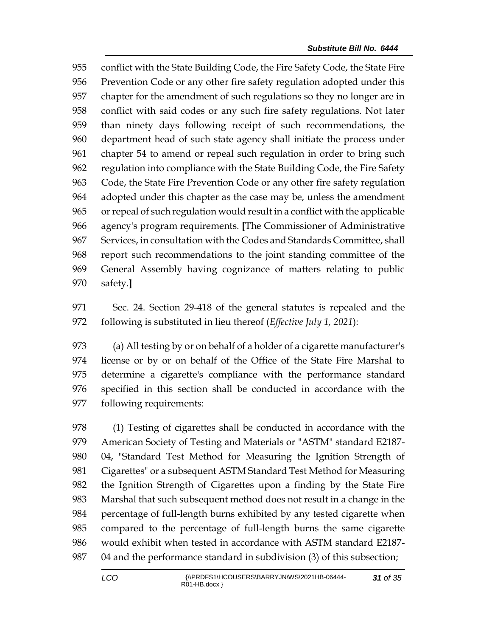conflict with the State Building Code, the Fire Safety Code, the State Fire Prevention Code or any other fire safety regulation adopted under this chapter for the amendment of such regulations so they no longer are in conflict with said codes or any such fire safety regulations. Not later than ninety days following receipt of such recommendations, the department head of such state agency shall initiate the process under chapter 54 to amend or repeal such regulation in order to bring such regulation into compliance with the State Building Code, the Fire Safety Code, the State Fire Prevention Code or any other fire safety regulation adopted under this chapter as the case may be, unless the amendment or repeal of such regulation would result in a conflict with the applicable agency's program requirements. **[**The Commissioner of Administrative Services, in consultation with the Codes and Standards Committee, shall report such recommendations to the joint standing committee of the General Assembly having cognizance of matters relating to public safety.**]**

 Sec. 24. Section 29-418 of the general statutes is repealed and the following is substituted in lieu thereof (*Effective July 1, 2021*):

 (a) All testing by or on behalf of a holder of a cigarette manufacturer's license or by or on behalf of the Office of the State Fire Marshal to determine a cigarette's compliance with the performance standard specified in this section shall be conducted in accordance with the following requirements:

 (1) Testing of cigarettes shall be conducted in accordance with the American Society of Testing and Materials or "ASTM" standard E2187- 04, "Standard Test Method for Measuring the Ignition Strength of Cigarettes" or a subsequent ASTM Standard Test Method for Measuring the Ignition Strength of Cigarettes upon a finding by the State Fire Marshal that such subsequent method does not result in a change in the percentage of full-length burns exhibited by any tested cigarette when compared to the percentage of full-length burns the same cigarette would exhibit when tested in accordance with ASTM standard E2187- 04 and the performance standard in subdivision (3) of this subsection;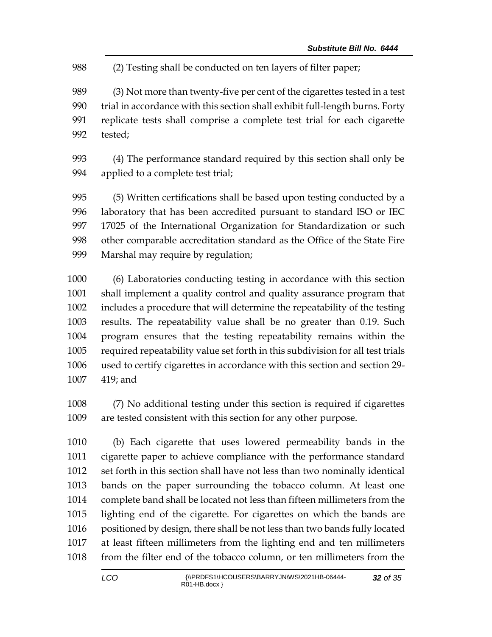(2) Testing shall be conducted on ten layers of filter paper;

 (3) Not more than twenty-five per cent of the cigarettes tested in a test trial in accordance with this section shall exhibit full-length burns. Forty replicate tests shall comprise a complete test trial for each cigarette tested;

 (4) The performance standard required by this section shall only be applied to a complete test trial;

 (5) Written certifications shall be based upon testing conducted by a laboratory that has been accredited pursuant to standard ISO or IEC 17025 of the International Organization for Standardization or such other comparable accreditation standard as the Office of the State Fire Marshal may require by regulation;

 (6) Laboratories conducting testing in accordance with this section shall implement a quality control and quality assurance program that includes a procedure that will determine the repeatability of the testing results. The repeatability value shall be no greater than 0.19. Such program ensures that the testing repeatability remains within the required repeatability value set forth in this subdivision for all test trials used to certify cigarettes in accordance with this section and section 29- 419; and

 (7) No additional testing under this section is required if cigarettes are tested consistent with this section for any other purpose.

 (b) Each cigarette that uses lowered permeability bands in the cigarette paper to achieve compliance with the performance standard set forth in this section shall have not less than two nominally identical bands on the paper surrounding the tobacco column. At least one complete band shall be located not less than fifteen millimeters from the lighting end of the cigarette. For cigarettes on which the bands are positioned by design, there shall be not less than two bands fully located at least fifteen millimeters from the lighting end and ten millimeters from the filter end of the tobacco column, or ten millimeters from the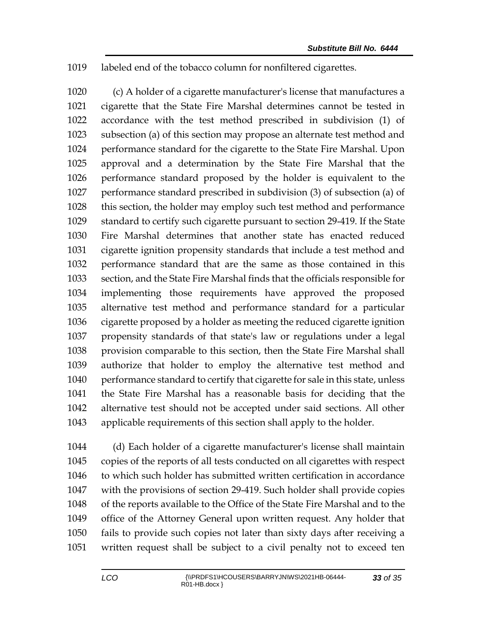labeled end of the tobacco column for nonfiltered cigarettes.

 (c) A holder of a cigarette manufacturer's license that manufactures a cigarette that the State Fire Marshal determines cannot be tested in accordance with the test method prescribed in subdivision (1) of subsection (a) of this section may propose an alternate test method and performance standard for the cigarette to the State Fire Marshal. Upon approval and a determination by the State Fire Marshal that the performance standard proposed by the holder is equivalent to the performance standard prescribed in subdivision (3) of subsection (a) of this section, the holder may employ such test method and performance standard to certify such cigarette pursuant to section 29-419. If the State Fire Marshal determines that another state has enacted reduced cigarette ignition propensity standards that include a test method and performance standard that are the same as those contained in this section, and the State Fire Marshal finds that the officials responsible for implementing those requirements have approved the proposed alternative test method and performance standard for a particular cigarette proposed by a holder as meeting the reduced cigarette ignition propensity standards of that state's law or regulations under a legal provision comparable to this section, then the State Fire Marshal shall authorize that holder to employ the alternative test method and performance standard to certify that cigarette for sale in this state, unless the State Fire Marshal has a reasonable basis for deciding that the alternative test should not be accepted under said sections. All other applicable requirements of this section shall apply to the holder.

 (d) Each holder of a cigarette manufacturer's license shall maintain copies of the reports of all tests conducted on all cigarettes with respect 1046 to which such holder has submitted written certification in accordance with the provisions of section 29-419. Such holder shall provide copies of the reports available to the Office of the State Fire Marshal and to the office of the Attorney General upon written request. Any holder that fails to provide such copies not later than sixty days after receiving a written request shall be subject to a civil penalty not to exceed ten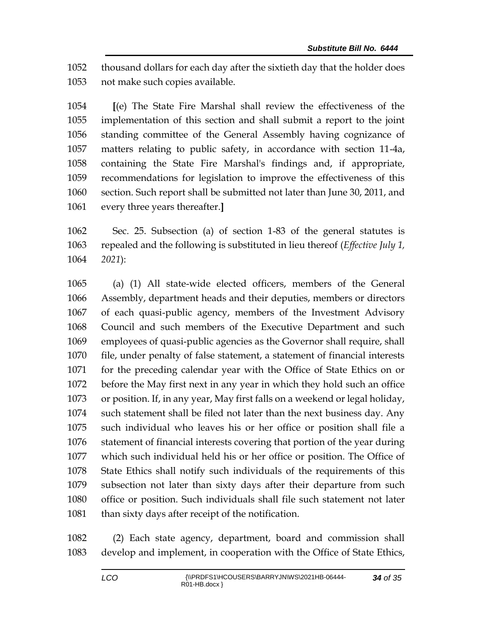thousand dollars for each day after the sixtieth day that the holder does not make such copies available.

 **[**(e) The State Fire Marshal shall review the effectiveness of the implementation of this section and shall submit a report to the joint standing committee of the General Assembly having cognizance of matters relating to public safety, in accordance with section 11-4a, containing the State Fire Marshal's findings and, if appropriate, recommendations for legislation to improve the effectiveness of this section. Such report shall be submitted not later than June 30, 2011, and every three years thereafter.**]**

 Sec. 25. Subsection (a) of section 1-83 of the general statutes is repealed and the following is substituted in lieu thereof (*Effective July 1, 2021*):

 (a) (1) All state-wide elected officers, members of the General Assembly, department heads and their deputies, members or directors of each quasi-public agency, members of the Investment Advisory Council and such members of the Executive Department and such employees of quasi-public agencies as the Governor shall require, shall file, under penalty of false statement, a statement of financial interests for the preceding calendar year with the Office of State Ethics on or before the May first next in any year in which they hold such an office or position. If, in any year, May first falls on a weekend or legal holiday, such statement shall be filed not later than the next business day. Any such individual who leaves his or her office or position shall file a statement of financial interests covering that portion of the year during which such individual held his or her office or position. The Office of State Ethics shall notify such individuals of the requirements of this subsection not later than sixty days after their departure from such office or position. Such individuals shall file such statement not later 1081 than sixty days after receipt of the notification.

 (2) Each state agency, department, board and commission shall develop and implement, in cooperation with the Office of State Ethics,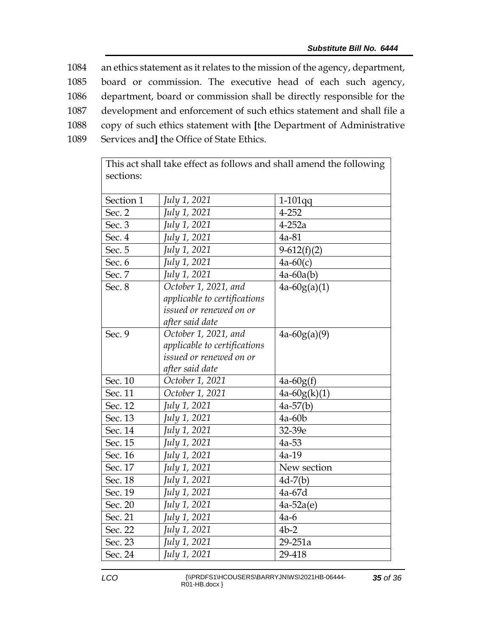an ethics statement as it relates to the mission of the agency, department, board or commission. The executive head of each such agency, department, board or commission shall be directly responsible for the development and enforcement of such ethics statement and shall file a copy of such ethics statement with **[**the Department of Administrative Services and**]** the Office of State Ethics.

| sections: |                              |                |
|-----------|------------------------------|----------------|
| Section 1 | July 1, 2021                 | $1-101$ qq     |
| Sec. 2    | July 1, 2021                 | 4-252          |
| Sec. 3    | July 1, 2021                 | $4-252a$       |
| Sec. 4    | July 1, 2021                 | 4a-81          |
| Sec. 5    | July 1, 2021                 | $9-612(f)(2)$  |
| Sec. 6    | July 1, 2021                 | $4a-60(c)$     |
| Sec. 7    | July 1, 2021                 | $4a-60a(b)$    |
| Sec. 8    | October 1, 2021, and         | $4a-60g(a)(1)$ |
|           | applicable to certifications |                |
|           | issued or renewed on or      |                |
|           | after said date              |                |
| Sec. 9    | October 1, 2021, and         | $4a-60g(a)(9)$ |
|           | applicable to certifications |                |
|           | issued or renewed on or      |                |
|           | after said date              |                |
| Sec. 10   | October 1, 2021              | $4a-60g(f)$    |
| Sec. 11   | October 1, 2021              | $4a-60g(k)(1)$ |
| Sec. 12   | July 1, 2021                 | $4a-57(b)$     |
| Sec. 13   | July 1, 2021                 | 4a-60b         |
| Sec. 14   | July 1, 2021                 | 32-39e         |
| Sec. 15   | July 1, 2021                 | $4a-53$        |
| Sec. 16   | July 1, 2021                 | $4a-19$        |
| Sec. 17   | July 1, 2021                 | New section    |
| Sec. 18   | July 1, 2021                 | $4d-7(b)$      |
| Sec. 19   | July 1, 2021                 | 4a-67d         |
| Sec. 20   | July 1, 2021                 | $4a-52a(e)$    |
| Sec. 21   | July 1, 2021                 | $4a-6$         |
| Sec. 22   | July 1, 2021                 | $4b-2$         |
| Sec. 23   | July 1, 2021                 | 29-251a        |
| Sec. 24   | July 1, 2021                 | 29-418         |

This act shall take effect as follows and shall amend the following

LCO \\PRDFS1\HCOUSERS\BARRYJN\WS\2021HB-06444- $RO1-HB.docx$  }